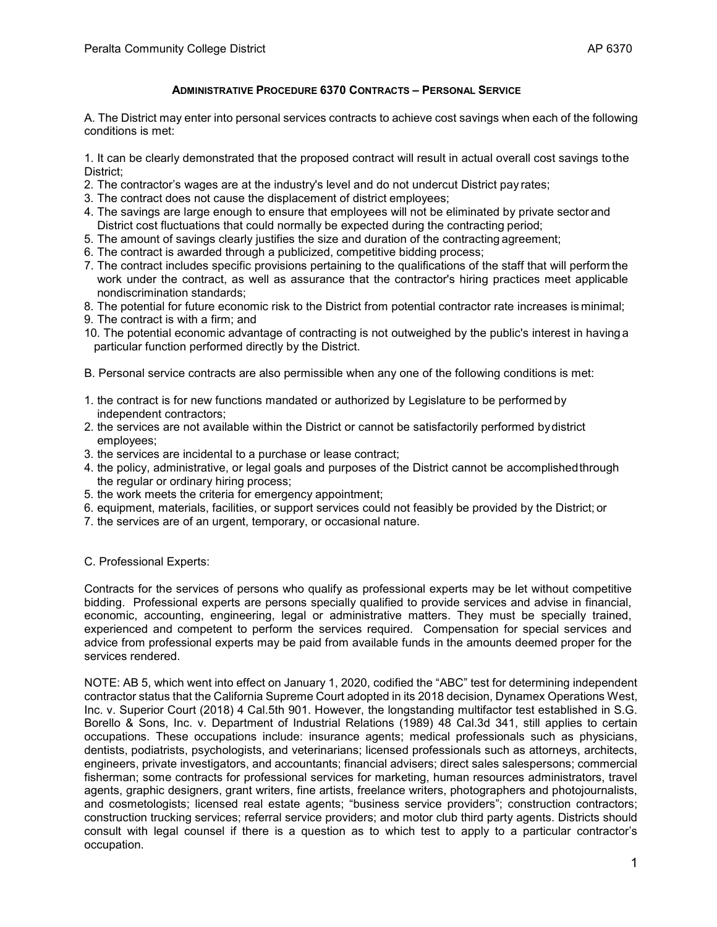## **ADMINISTRATIVE PROCEDURE 6370 CONTRACTS – PERSONAL SERVICE**

A. The District may enter into personal services contracts to achieve cost savings when each of the following conditions is met:

1. It can be clearly demonstrated that the proposed contract will result in actual overall cost savings tothe District;

- 2. The contractor's wages are at the industry's level and do not undercut District pay rates;
- 3. The contract does not cause the displacement of district employees;
- 4. The savings are large enough to ensure that employees will not be eliminated by private sector and District cost fluctuations that could normally be expected during the contracting period;
- 5. The amount of savings clearly justifies the size and duration of the contracting agreement;
- 6. The contract is awarded through a publicized, competitive bidding process;
- 7. The contract includes specific provisions pertaining to the qualifications of the staff that will perform the work under the contract, as well as assurance that the contractor's hiring practices meet applicable nondiscrimination standards;
- 8. The potential for future economic risk to the District from potential contractor rate increases is minimal;
- 9. The contract is with a firm; and
- 10. The potential economic advantage of contracting is not outweighed by the public's interest in having a particular function performed directly by the District.
- B. Personal service contracts are also permissible when any one of the following conditions is met:
- 1. the contract is for new functions mandated or authorized by Legislature to be performed by independent contractors;
- 2. the services are not available within the District or cannot be satisfactorily performed bydistrict employees;
- 3. the services are incidental to a purchase or lease contract;
- 4. the policy, administrative, or legal goals and purposes of the District cannot be accomplishedthrough the regular or ordinary hiring process;
- 5. the work meets the criteria for emergency appointment;
- 6. equipment, materials, facilities, or support services could not feasibly be provided by the District; or
- 7. the services are of an urgent, temporary, or occasional nature.

## C. Professional Experts:

Contracts for the services of persons who qualify as professional experts may be let without competitive bidding. Professional experts are persons specially qualified to provide services and advise in financial, economic, accounting, engineering, legal or administrative matters. They must be specially trained, experienced and competent to perform the services required. Compensation for special services and advice from professional experts may be paid from available funds in the amounts deemed proper for the services rendered.

NOTE: AB 5, which went into effect on January 1, 2020, codified the "ABC" test for determining independent contractor status that the California Supreme Court adopted in its 2018 decision, Dynamex Operations West, Inc. v. Superior Court (2018) 4 Cal.5th 901. However, the longstanding multifactor test established in S.G. Borello & Sons, Inc. v. Department of Industrial Relations (1989) 48 Cal.3d 341, still applies to certain occupations. These occupations include: insurance agents; medical professionals such as physicians, dentists, podiatrists, psychologists, and veterinarians; licensed professionals such as attorneys, architects, engineers, private investigators, and accountants; financial advisers; direct sales salespersons; commercial fisherman; some contracts for professional services for marketing, human resources administrators, travel agents, graphic designers, grant writers, fine artists, freelance writers, photographers and photojournalists, and cosmetologists; licensed real estate agents; "business service providers"; construction contractors; construction trucking services; referral service providers; and motor club third party agents. Districts should consult with legal counsel if there is a question as to which test to apply to a particular contractor's occupation.